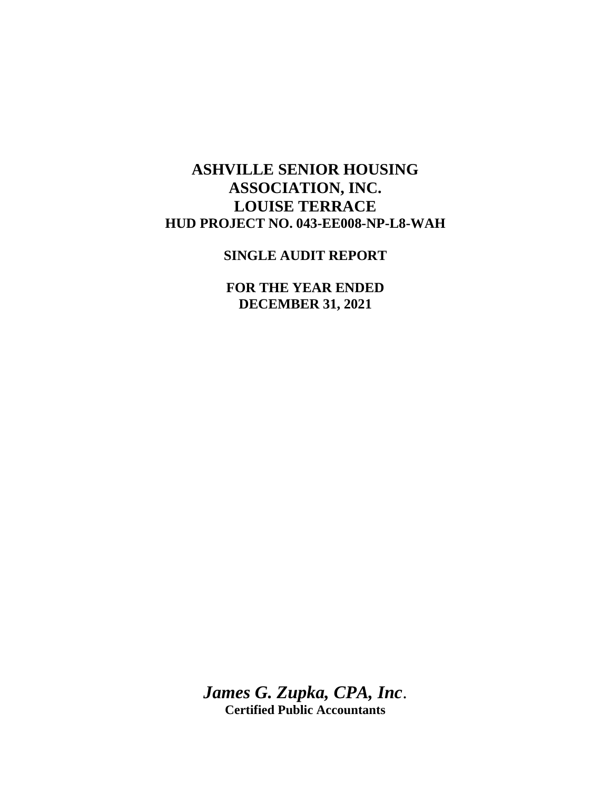# **ASHVILLE SENIOR HOUSING ASSOCIATION, INC. LOUISE TERRACE HUD PROJECT NO. 043-EE008-NP-L8-WAH**

# **SINGLE AUDIT REPORT**

**FOR THE YEAR ENDED DECEMBER 31, 2021**

*James G. Zupka, CPA, Inc*. **Certified Public Accountants**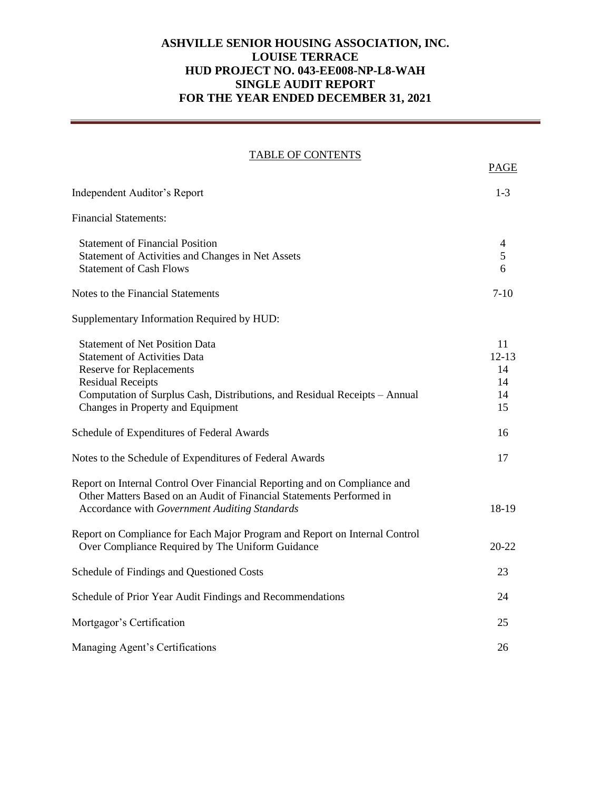# **ASHVILLE SENIOR HOUSING ASSOCIATION, INC. LOUISE TERRACE HUD PROJECT NO. 043-EE008-NP-L8-WAH SINGLE AUDIT REPORT FOR THE YEAR ENDED DECEMBER 31, 2021**

| <b>TABLE OF CONTENTS</b>                                                                                                                                                                                                                                       | PAGE                                    |
|----------------------------------------------------------------------------------------------------------------------------------------------------------------------------------------------------------------------------------------------------------------|-----------------------------------------|
| Independent Auditor's Report                                                                                                                                                                                                                                   | $1-3$                                   |
| <b>Financial Statements:</b>                                                                                                                                                                                                                                   |                                         |
| <b>Statement of Financial Position</b><br>Statement of Activities and Changes in Net Assets<br><b>Statement of Cash Flows</b>                                                                                                                                  | 4<br>5<br>6                             |
| Notes to the Financial Statements                                                                                                                                                                                                                              | $7-10$                                  |
| Supplementary Information Required by HUD:                                                                                                                                                                                                                     |                                         |
| <b>Statement of Net Position Data</b><br><b>Statement of Activities Data</b><br><b>Reserve for Replacements</b><br><b>Residual Receipts</b><br>Computation of Surplus Cash, Distributions, and Residual Receipts - Annual<br>Changes in Property and Equipment | 11<br>$12 - 13$<br>14<br>14<br>14<br>15 |
| Schedule of Expenditures of Federal Awards                                                                                                                                                                                                                     | 16                                      |
| Notes to the Schedule of Expenditures of Federal Awards                                                                                                                                                                                                        | 17                                      |
| Report on Internal Control Over Financial Reporting and on Compliance and<br>Other Matters Based on an Audit of Financial Statements Performed in<br>Accordance with Government Auditing Standards                                                             | 18-19                                   |
| Report on Compliance for Each Major Program and Report on Internal Control<br>Over Compliance Required by The Uniform Guidance                                                                                                                                 | $20 - 22$                               |
| Schedule of Findings and Questioned Costs                                                                                                                                                                                                                      | 23                                      |
| Schedule of Prior Year Audit Findings and Recommendations                                                                                                                                                                                                      | 24                                      |
| Mortgagor's Certification                                                                                                                                                                                                                                      | 25                                      |
| Managing Agent's Certifications                                                                                                                                                                                                                                | 26                                      |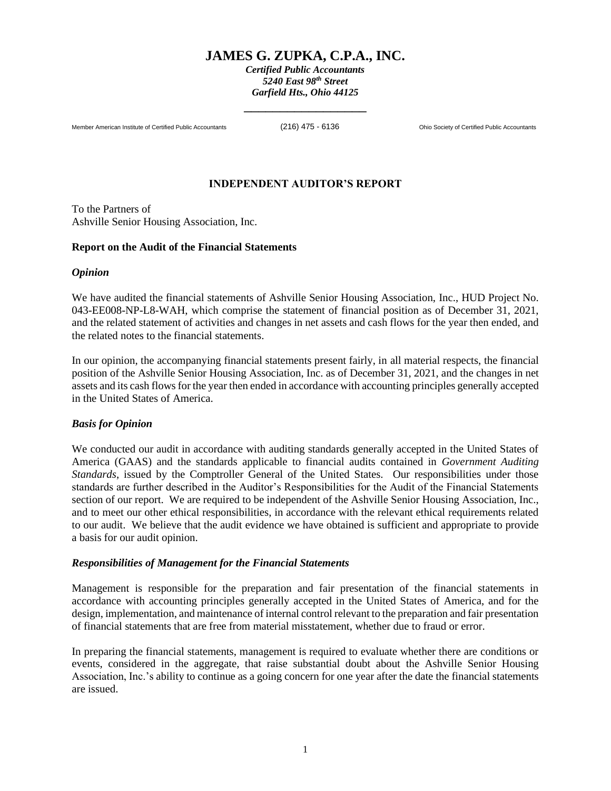# **JAMES G. ZUPKA, C.P.A., INC.**

*Certified Public Accountants 5240 East 98th Street Garfield Hts., Ohio 44125*

\_\_\_\_\_\_\_\_\_\_\_\_\_\_\_\_\_

Member American Institute of Certified Public Accountants (216) 475 - 6136 Ohio Society of Certified Public Accountants

### **INDEPENDENT AUDITOR'S REPORT**

To the Partners of Ashville Senior Housing Association, Inc.

### **Report on the Audit of the Financial Statements**

### *Opinion*

We have audited the financial statements of Ashville Senior Housing Association, Inc., HUD Project No. 043-EE008-NP-L8-WAH, which comprise the statement of financial position as of December 31, 2021, and the related statement of activities and changes in net assets and cash flows for the year then ended, and the related notes to the financial statements.

In our opinion, the accompanying financial statements present fairly, in all material respects, the financial position of the Ashville Senior Housing Association, Inc. as of December 31, 2021, and the changes in net assets and its cash flows for the year then ended in accordance with accounting principles generally accepted in the United States of America.

### *Basis for Opinion*

We conducted our audit in accordance with auditing standards generally accepted in the United States of America (GAAS) and the standards applicable to financial audits contained in *Government Auditing Standards*, issued by the Comptroller General of the United States. Our responsibilities under those standards are further described in the Auditor's Responsibilities for the Audit of the Financial Statements section of our report. We are required to be independent of the Ashville Senior Housing Association, Inc., and to meet our other ethical responsibilities, in accordance with the relevant ethical requirements related to our audit. We believe that the audit evidence we have obtained is sufficient and appropriate to provide a basis for our audit opinion.

### *Responsibilities of Management for the Financial Statements*

Management is responsible for the preparation and fair presentation of the financial statements in accordance with accounting principles generally accepted in the United States of America, and for the design, implementation, and maintenance of internal control relevant to the preparation and fair presentation of financial statements that are free from material misstatement, whether due to fraud or error.

In preparing the financial statements, management is required to evaluate whether there are conditions or events, considered in the aggregate, that raise substantial doubt about the Ashville Senior Housing Association, Inc.'s ability to continue as a going concern for one year after the date the financial statements are issued.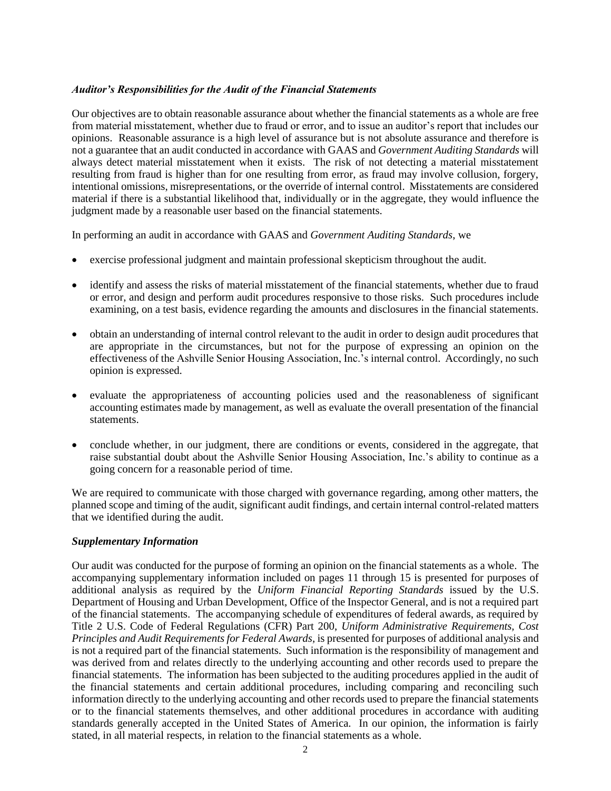### *Auditor's Responsibilities for the Audit of the Financial Statements*

Our objectives are to obtain reasonable assurance about whether the financial statements as a whole are free from material misstatement, whether due to fraud or error, and to issue an auditor's report that includes our opinions. Reasonable assurance is a high level of assurance but is not absolute assurance and therefore is not a guarantee that an audit conducted in accordance with GAAS and *Government Auditing Standards* will always detect material misstatement when it exists. The risk of not detecting a material misstatement resulting from fraud is higher than for one resulting from error, as fraud may involve collusion, forgery, intentional omissions, misrepresentations, or the override of internal control. Misstatements are considered material if there is a substantial likelihood that, individually or in the aggregate, they would influence the judgment made by a reasonable user based on the financial statements.

In performing an audit in accordance with GAAS and *Government Auditing Standards*, we

- exercise professional judgment and maintain professional skepticism throughout the audit.
- identify and assess the risks of material misstatement of the financial statements, whether due to fraud or error, and design and perform audit procedures responsive to those risks. Such procedures include examining, on a test basis, evidence regarding the amounts and disclosures in the financial statements.
- obtain an understanding of internal control relevant to the audit in order to design audit procedures that are appropriate in the circumstances, but not for the purpose of expressing an opinion on the effectiveness of the Ashville Senior Housing Association, Inc.'s internal control. Accordingly, no such opinion is expressed.
- evaluate the appropriateness of accounting policies used and the reasonableness of significant accounting estimates made by management, as well as evaluate the overall presentation of the financial statements.
- conclude whether, in our judgment, there are conditions or events, considered in the aggregate, that raise substantial doubt about the Ashville Senior Housing Association, Inc.'s ability to continue as a going concern for a reasonable period of time.

We are required to communicate with those charged with governance regarding, among other matters, the planned scope and timing of the audit, significant audit findings, and certain internal control-related matters that we identified during the audit.

### *Supplementary Information*

Our audit was conducted for the purpose of forming an opinion on the financial statements as a whole. The accompanying supplementary information included on pages 11 through 15 is presented for purposes of additional analysis as required by the *Uniform Financial Reporting Standards* issued by the U.S. Department of Housing and Urban Development, Office of the Inspector General, and is not a required part of the financial statements. The accompanying schedule of expenditures of federal awards, as required by Title 2 U.S. Code of Federal Regulations (CFR) Part 200, *Uniform Administrative Requirements, Cost Principles and Audit Requirements for Federal Awards,* is presented for purposes of additional analysis and is not a required part of the financial statements. Such information is the responsibility of management and was derived from and relates directly to the underlying accounting and other records used to prepare the financial statements. The information has been subjected to the auditing procedures applied in the audit of the financial statements and certain additional procedures, including comparing and reconciling such information directly to the underlying accounting and other records used to prepare the financial statements or to the financial statements themselves, and other additional procedures in accordance with auditing standards generally accepted in the United States of America. In our opinion, the information is fairly stated, in all material respects, in relation to the financial statements as a whole.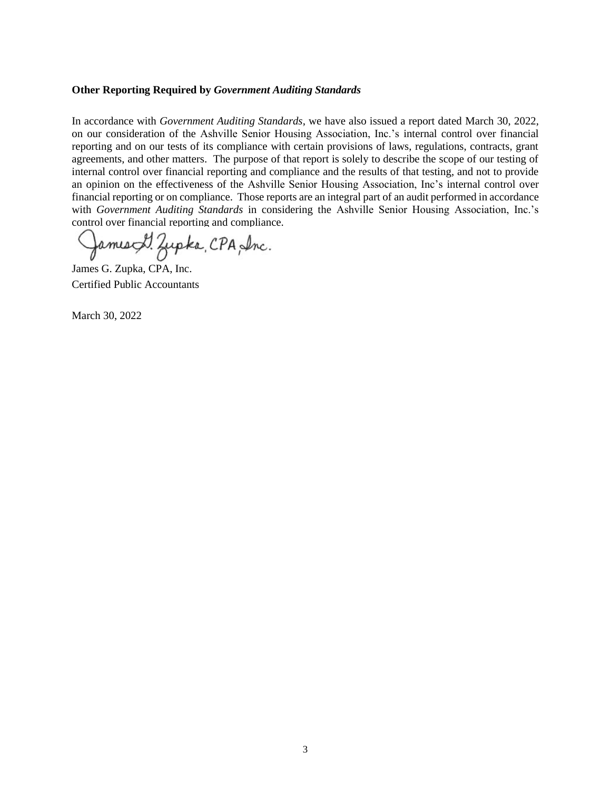#### **Other Reporting Required by** *Government Auditing Standards*

In accordance with *Government Auditing Standards*, we have also issued a report dated March 30, 2022, on our consideration of the Ashville Senior Housing Association, Inc.'s internal control over financial reporting and on our tests of its compliance with certain provisions of laws, regulations, contracts, grant agreements, and other matters. The purpose of that report is solely to describe the scope of our testing of internal control over financial reporting and compliance and the results of that testing, and not to provide an opinion on the effectiveness of the Ashville Senior Housing Association, Inc's internal control over financial reporting or on compliance. Those reports are an integral part of an audit performed in accordance with *Government Auditing Standards* in considering the Ashville Senior Housing Association, Inc.'s control over financial reporting and compliance.

Jamesch. Zupka, CPA, Inc.

James G. Zupka, CPA, Inc. Certified Public Accountants

March 30, 2022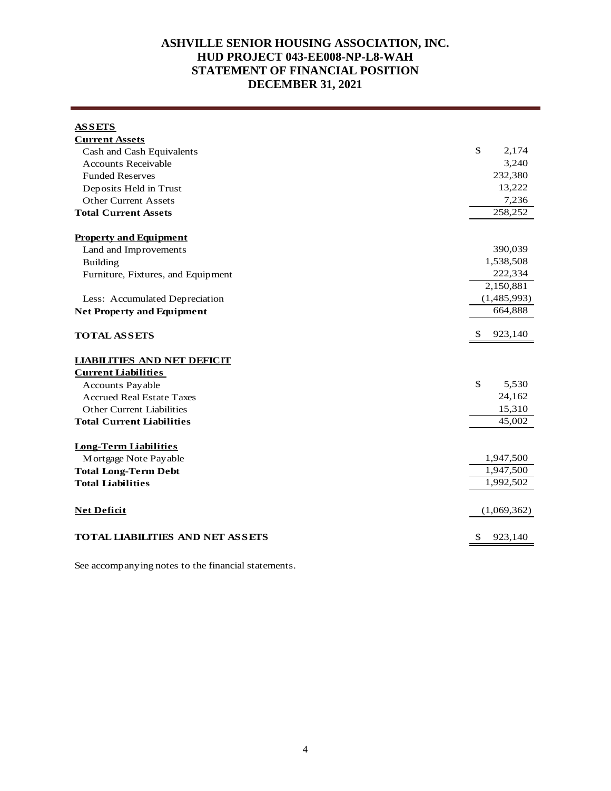# **ASHVILLE SENIOR HOUSING ASSOCIATION, INC. HUD PROJECT 043-EE008-NP-L8-WAH STATEMENT OF FINANCIAL POSITION DECEMBER 31, 2021**

### **ASSETS**

| <b>Current Assets</b>                   |               |
|-----------------------------------------|---------------|
| Cash and Cash Equivalents               | \$<br>2,174   |
| <b>Accounts Receivable</b>              | 3,240         |
| <b>Funded Reserves</b>                  | 232,380       |
| Deposits Held in Trust                  | 13,222        |
| <b>Other Current Assets</b>             | 7,236         |
| <b>Total Current Assets</b>             | 258,252       |
| <b>Property and Equipment</b>           |               |
| Land and Improvements                   | 390,039       |
| <b>Building</b>                         | 1,538,508     |
| Furniture, Fixtures, and Equipment      | 222,334       |
|                                         | 2,150,881     |
| Less: Accumulated Depreciation          | (1,485,993)   |
| <b>Net Property and Equipment</b>       | 664,888       |
| <b>TOTAL ASSETS</b>                     | 923,140<br>\$ |
| <b>LIABILITIES AND NET DEFICIT</b>      |               |
| <b>Current Liabilities</b>              |               |
| Accounts Payable                        | \$<br>5,530   |
| <b>Accrued Real Estate Taxes</b>        | 24,162        |
| <b>Other Current Liabilities</b>        | 15,310        |
| <b>Total Current Liabilities</b>        | 45,002        |
| <b>Long-Term Liabilities</b>            |               |
| Mortgage Note Payable                   | 1,947,500     |
| <b>Total Long-Term Debt</b>             | 1,947,500     |
| <b>Total Liabilities</b>                | 1,992,502     |
| <b>Net Deficit</b>                      | (1,069,362)   |
| <b>TOTAL LIABILITIES AND NET ASSETS</b> | 923,140<br>\$ |

See accompanying notes to the financial statements.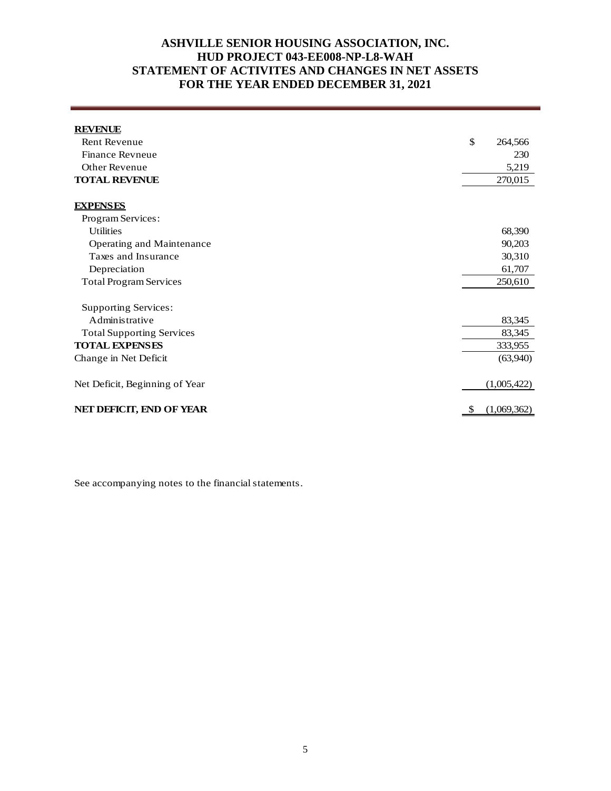# **ASHVILLE SENIOR HOUSING ASSOCIATION, INC. HUD PROJECT 043-EE008-NP-L8-WAH STATEMENT OF ACTIVITES AND CHANGES IN NET ASSETS FOR THE YEAR ENDED DECEMBER 31, 2021**

| <b>REVENUE</b>                   |    |             |
|----------------------------------|----|-------------|
| <b>Rent Revenue</b>              | \$ | 264,566     |
| <b>Finance Revneue</b>           |    | 230         |
| Other Revenue                    |    | 5,219       |
| <b>TOTAL REVENUE</b>             |    | 270,015     |
| <b>EXPENSES</b>                  |    |             |
| Program Services:                |    |             |
| <b>Utilities</b>                 |    | 68,390      |
| Operating and Maintenance        |    | 90,203      |
| Taxes and Insurance              |    | 30,310      |
| Depreciation                     |    | 61,707      |
| <b>Total Program Services</b>    |    | 250,610     |
| <b>Supporting Services:</b>      |    |             |
| Administrative                   |    | 83,345      |
| <b>Total Supporting Services</b> |    | 83,345      |
| <b>TOTAL EXPENSES</b>            |    | 333,955     |
| Change in Net Deficit            |    | (63,940)    |
| Net Deficit, Beginning of Year   |    | (1,005,422) |
| NET DEFICIT, END OF YEAR         | -S | (1,069,362) |

See accompanying notes to the financial statements.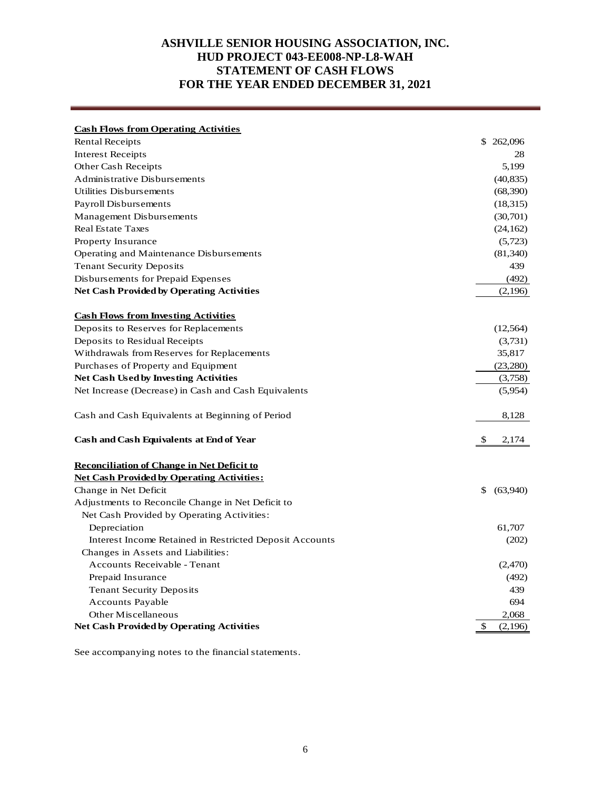# **ASHVILLE SENIOR HOUSING ASSOCIATION, INC. HUD PROJECT 043-EE008-NP-L8-WAH STATEMENT OF CASH FLOWS FOR THE YEAR ENDED DECEMBER 31, 2021**

| <b>Cash Flows from Operating Activities</b>             |                |
|---------------------------------------------------------|----------------|
| <b>Rental Receipts</b>                                  | \$262,096      |
| <b>Interest Receipts</b>                                | 28             |
| <b>Other Cash Receipts</b>                              | 5,199          |
| Administrative Disbursements                            | (40, 835)      |
| Utilities Disbursements                                 | (68,390)       |
| Payroll Disbursements                                   | (18,315)       |
| Management Disbursements                                | (30,701)       |
| <b>Real Estate Taxes</b>                                | (24, 162)      |
| Property Insurance                                      | (5,723)        |
| Operating and Maintenance Disbursements                 | (81, 340)      |
| <b>Tenant Security Deposits</b>                         | 439            |
| Disbursements for Prepaid Expenses                      | (492)          |
| <b>Net Cash Provided by Operating Activities</b>        | (2,196)        |
| <u>Cash Flows from Investing Activities</u>             |                |
| Deposits to Reserves for Replacements                   | (12, 564)      |
| Deposits to Residual Receipts                           | (3,731)        |
| Withdrawals from Reserves for Replacements              | 35,817         |
| Purchases of Property and Equipment                     | (23,280)       |
| <b>Net Cash Used by Investing Activities</b>            | (3,758)        |
| Net Increase (Decrease) in Cash and Cash Equivalents    | (5,954)        |
| Cash and Cash Equivalents at Beginning of Period        | 8,128          |
| Cash and Cash Equivalents at End of Year                | 2,174<br>-\$   |
| <b>Reconciliation of Change in Net Deficit to</b>       |                |
| <b>Net Cash Provided by Operating Activities:</b>       |                |
| Change in Net Deficit                                   | \$<br>(63,940) |
| Adjustments to Reconcile Change in Net Deficit to       |                |
| Net Cash Provided by Operating Activities:              |                |
| Depreciation                                            | 61,707         |
| Interest Income Retained in Restricted Deposit Accounts | (202)          |
| Changes in Assets and Liabilities:                      |                |
| Accounts Receivable - Tenant                            | (2,470)        |
| Prepaid Insurance                                       | (492)          |
| <b>Tenant Security Deposits</b>                         | 439            |
| <b>Accounts Payable</b>                                 | 694            |
| Other Miscellaneous                                     | 2,068          |
| <b>Net Cash Provided by Operating Activities</b>        | \$<br>(2,196)  |

See accompanying notes to the financial statements.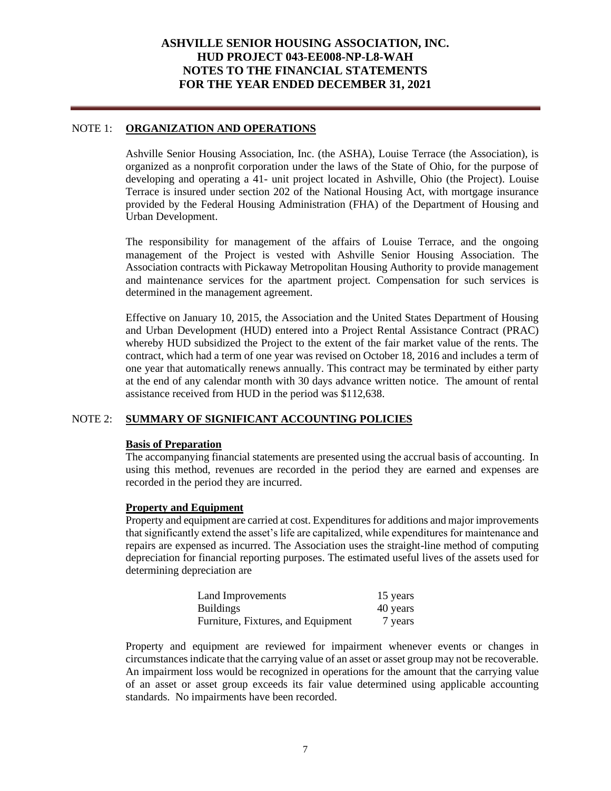### **ASHVILLE SENIOR HOUSING ASSOCIATION, INC. HUD PROJECT 043-EE008-NP-L8-WAH NOTES TO THE FINANCIAL STATEMENTS FOR THE YEAR ENDED DECEMBER 31, 2021**

### NOTE 1: **ORGANIZATION AND OPERATIONS**

Ashville Senior Housing Association, Inc. (the ASHA), Louise Terrace (the Association), is organized as a nonprofit corporation under the laws of the State of Ohio, for the purpose of developing and operating a 41- unit project located in Ashville, Ohio (the Project). Louise Terrace is insured under section 202 of the National Housing Act, with mortgage insurance provided by the Federal Housing Administration (FHA) of the Department of Housing and Urban Development.

The responsibility for management of the affairs of Louise Terrace, and the ongoing management of the Project is vested with Ashville Senior Housing Association. The Association contracts with Pickaway Metropolitan Housing Authority to provide management and maintenance services for the apartment project. Compensation for such services is determined in the management agreement.

Effective on January 10, 2015, the Association and the United States Department of Housing and Urban Development (HUD) entered into a Project Rental Assistance Contract (PRAC) whereby HUD subsidized the Project to the extent of the fair market value of the rents. The contract, which had a term of one year was revised on October 18, 2016 and includes a term of one year that automatically renews annually. This contract may be terminated by either party at the end of any calendar month with 30 days advance written notice. The amount of rental assistance received from HUD in the period was \$112,638.

### NOTE 2: **SUMMARY OF SIGNIFICANT ACCOUNTING POLICIES**

### **Basis of Preparation**

The accompanying financial statements are presented using the accrual basis of accounting. In using this method, revenues are recorded in the period they are earned and expenses are recorded in the period they are incurred.

### **Property and Equipment**

Property and equipment are carried at cost. Expenditures for additions and major improvements that significantly extend the asset's life are capitalized, while expenditures for maintenance and repairs are expensed as incurred. The Association uses the straight-line method of computing depreciation for financial reporting purposes. The estimated useful lives of the assets used for determining depreciation are

| Land Improvements                  | 15 years |
|------------------------------------|----------|
| <b>Buildings</b>                   | 40 years |
| Furniture, Fixtures, and Equipment | 7 years  |

Property and equipment are reviewed for impairment whenever events or changes in circumstancesindicate that the carrying value of an asset or asset group may not be recoverable. An impairment loss would be recognized in operations for the amount that the carrying value of an asset or asset group exceeds its fair value determined using applicable accounting standards. No impairments have been recorded.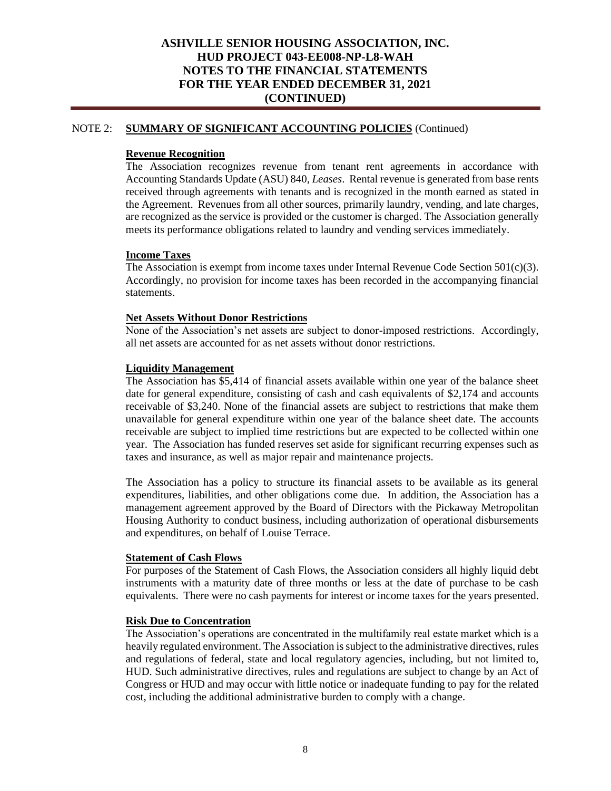## **ASHVILLE SENIOR HOUSING ASSOCIATION, INC. HUD PROJECT 043-EE008-NP-L8-WAH NOTES TO THE FINANCIAL STATEMENTS FOR THE YEAR ENDED DECEMBER 31, 2021 (CONTINUED)**

### NOTE 2: **SUMMARY OF SIGNIFICANT ACCOUNTING POLICIES** (Continued)

### **Revenue Recognition**

The Association recognizes revenue from tenant rent agreements in accordance with Accounting Standards Update (ASU) 840, *Leases*. Rental revenue is generated from base rents received through agreements with tenants and is recognized in the month earned as stated in the Agreement. Revenues from all other sources, primarily laundry, vending, and late charges, are recognized as the service is provided or the customer is charged. The Association generally meets its performance obligations related to laundry and vending services immediately.

### **Income Taxes**

The Association is exempt from income taxes under Internal Revenue Code Section  $501(c)(3)$ . Accordingly, no provision for income taxes has been recorded in the accompanying financial statements.

### **Net Assets Without Donor Restrictions**

None of the Association's net assets are subject to donor-imposed restrictions. Accordingly, all net assets are accounted for as net assets without donor restrictions.

### **Liquidity Management**

The Association has \$5,414 of financial assets available within one year of the balance sheet date for general expenditure, consisting of cash and cash equivalents of \$2,174 and accounts receivable of \$3,240. None of the financial assets are subject to restrictions that make them unavailable for general expenditure within one year of the balance sheet date. The accounts receivable are subject to implied time restrictions but are expected to be collected within one year. The Association has funded reserves set aside for significant recurring expenses such as taxes and insurance, as well as major repair and maintenance projects.

The Association has a policy to structure its financial assets to be available as its general expenditures, liabilities, and other obligations come due. In addition, the Association has a management agreement approved by the Board of Directors with the Pickaway Metropolitan Housing Authority to conduct business, including authorization of operational disbursements and expenditures, on behalf of Louise Terrace.

### **Statement of Cash Flows**

For purposes of the Statement of Cash Flows, the Association considers all highly liquid debt instruments with a maturity date of three months or less at the date of purchase to be cash equivalents. There were no cash payments for interest or income taxes for the years presented.

### **Risk Due to Concentration**

The Association's operations are concentrated in the multifamily real estate market which is a heavily regulated environment. The Association is subject to the administrative directives, rules and regulations of federal, state and local regulatory agencies, including, but not limited to, HUD. Such administrative directives, rules and regulations are subject to change by an Act of Congress or HUD and may occur with little notice or inadequate funding to pay for the related cost, including the additional administrative burden to comply with a change.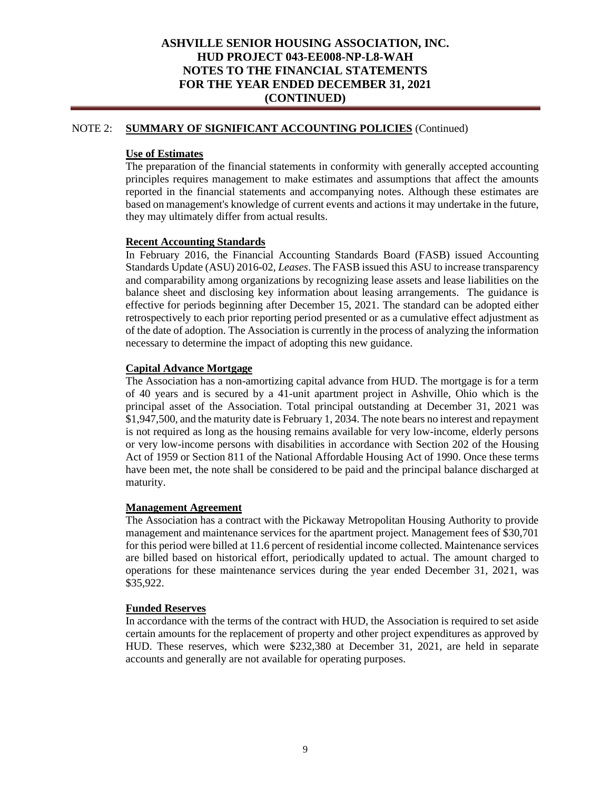# **ASHVILLE SENIOR HOUSING ASSOCIATION, INC. HUD PROJECT 043-EE008-NP-L8-WAH NOTES TO THE FINANCIAL STATEMENTS FOR THE YEAR ENDED DECEMBER 31, 2021 (CONTINUED)**

### NOTE 2: **SUMMARY OF SIGNIFICANT ACCOUNTING POLICIES** (Continued)

### **Use of Estimates**

The preparation of the financial statements in conformity with generally accepted accounting principles requires management to make estimates and assumptions that affect the amounts reported in the financial statements and accompanying notes. Although these estimates are based on management's knowledge of current events and actions it may undertake in the future, they may ultimately differ from actual results.

### **Recent Accounting Standards**

In February 2016, the Financial Accounting Standards Board (FASB) issued Accounting Standards Update (ASU) 2016-02, *Leases*. The FASB issued this ASU to increase transparency and comparability among organizations by recognizing lease assets and lease liabilities on the balance sheet and disclosing key information about leasing arrangements. The guidance is effective for periods beginning after December 15, 2021. The standard can be adopted either retrospectively to each prior reporting period presented or as a cumulative effect adjustment as of the date of adoption. The Association is currently in the process of analyzing the information necessary to determine the impact of adopting this new guidance.

### **Capital Advance Mortgage**

The Association has a non-amortizing capital advance from HUD. The mortgage is for a term of 40 years and is secured by a 41-unit apartment project in Ashville, Ohio which is the principal asset of the Association. Total principal outstanding at December 31, 2021 was \$1,947,500, and the maturity date is February 1, 2034. The note bears no interest and repayment is not required as long as the housing remains available for very low-income, elderly persons or very low-income persons with disabilities in accordance with Section 202 of the Housing Act of 1959 or Section 811 of the National Affordable Housing Act of 1990. Once these terms have been met, the note shall be considered to be paid and the principal balance discharged at maturity.

### **Management Agreement**

The Association has a contract with the Pickaway Metropolitan Housing Authority to provide management and maintenance services for the apartment project. Management fees of \$30,701 for this period were billed at 11.6 percent of residential income collected. Maintenance services are billed based on historical effort, periodically updated to actual. The amount charged to operations for these maintenance services during the year ended December 31, 2021, was \$35,922.

### **Funded Reserves**

In accordance with the terms of the contract with HUD, the Association is required to set aside certain amounts for the replacement of property and other project expenditures as approved by HUD. These reserves, which were \$232,380 at December 31, 2021, are held in separate accounts and generally are not available for operating purposes.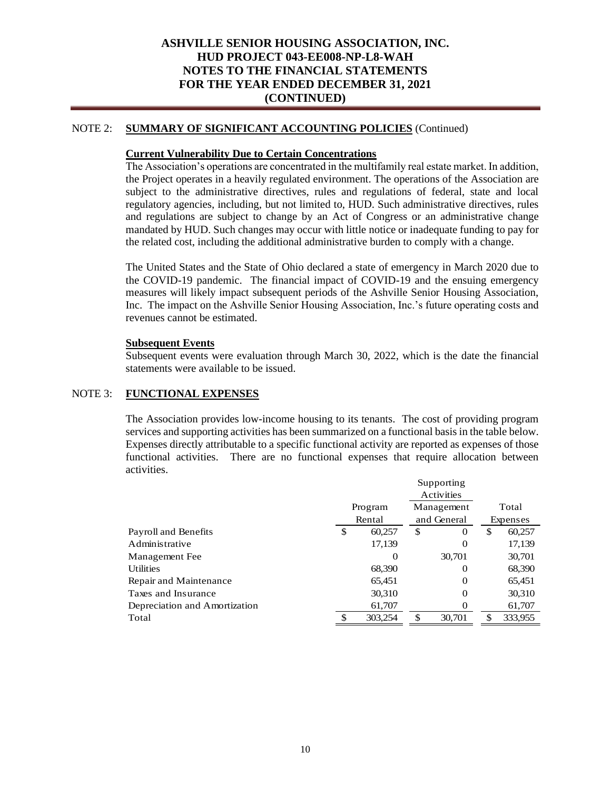# **ASHVILLE SENIOR HOUSING ASSOCIATION, INC. HUD PROJECT 043-EE008-NP-L8-WAH NOTES TO THE FINANCIAL STATEMENTS FOR THE YEAR ENDED DECEMBER 31, 2021 (CONTINUED)**

### NOTE 2: **SUMMARY OF SIGNIFICANT ACCOUNTING POLICIES** (Continued)

### **Current Vulnerability Due to Certain Concentrations**

The Association's operations are concentrated in the multifamily real estate market. In addition, the Project operates in a heavily regulated environment. The operations of the Association are subject to the administrative directives, rules and regulations of federal, state and local regulatory agencies, including, but not limited to, HUD. Such administrative directives, rules and regulations are subject to change by an Act of Congress or an administrative change mandated by HUD. Such changes may occur with little notice or inadequate funding to pay for the related cost, including the additional administrative burden to comply with a change.

The United States and the State of Ohio declared a state of emergency in March 2020 due to the COVID-19 pandemic. The financial impact of COVID-19 and the ensuing emergency measures will likely impact subsequent periods of the Ashville Senior Housing Association, Inc. The impact on the Ashville Senior Housing Association, Inc.'s future operating costs and revenues cannot be estimated.

### **Subsequent Events**

Subsequent events were evaluation through March 30, 2022, which is the date the financial statements were available to be issued.

### NOTE 3: **FUNCTIONAL EXPENSES**

The Association provides low-income housing to its tenants. The cost of providing program services and supporting activities has been summarized on a functional basis in the table below. Expenses directly attributable to a specific functional activity are reported as expenses of those functional activities. There are no functional expenses that require allocation between activities.

|                               | Supporting |                       |    |                |          |         |
|-------------------------------|------------|-----------------------|----|----------------|----------|---------|
|                               |            |                       |    | Activities     |          |         |
|                               |            | Program               |    | Management     | Total    |         |
|                               |            | and General<br>Rental |    |                | Expenses |         |
| Payroll and Benefits          | \$         | 60,257                | \$ | 0              | \$       | 60,257  |
| Administrative                |            | 17,139                |    | 0              |          | 17,139  |
| Management Fee                |            | 0                     |    | 30,701         |          | 30,701  |
| <b>Utilities</b>              |            | 68,390                |    | $\theta$       |          | 68,390  |
| Repair and Maintenance        |            | 65,451                |    | 0              |          | 65,451  |
| Taxes and Insurance           |            | 30,310                |    | $\overline{0}$ |          | 30,310  |
| Depreciation and Amortization |            | 61,707                |    | 0              |          | 61,707  |
| Total                         |            | 303,254               | \$ | 30,701         |          | 333,955 |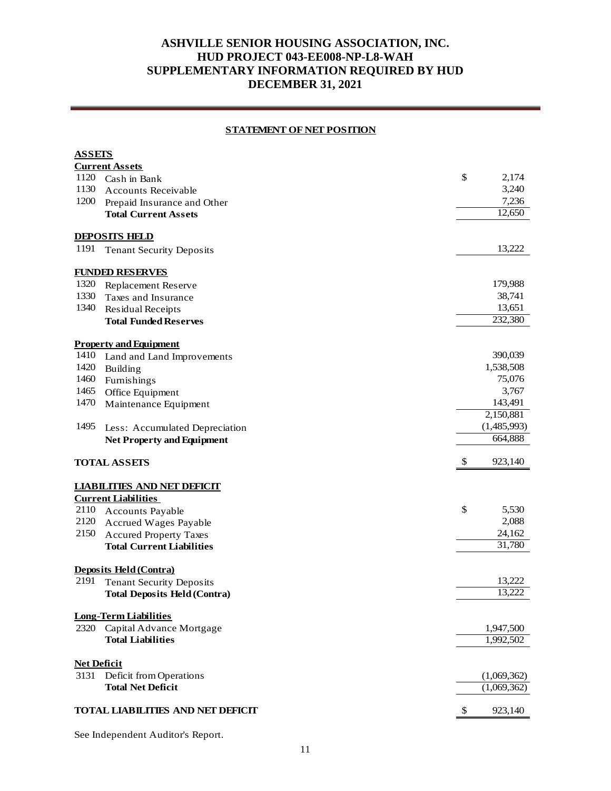# **ASHVILLE SENIOR HOUSING ASSOCIATION, INC. HUD PROJECT 043-EE008-NP-L8-WAH SUPPLEMENTARY INFORMATION REQUIRED BY HUD DECEMBER 31, 2021**

### **STATEMENT OF NET POSITION**

| <b>ASSETS</b>      |                                          |               |
|--------------------|------------------------------------------|---------------|
|                    | <b>Current Assets</b>                    |               |
| 1120               | Cash in Bank                             | \$<br>2,174   |
| 1130               | <b>Accounts Receivable</b>               | 3,240         |
|                    | 1200 Prepaid Insurance and Other         | 7,236         |
|                    | <b>Total Current Assets</b>              | 12,650        |
|                    | <b>DEPOSITS HELD</b>                     |               |
| 1191               | <b>Tenant Security Deposits</b>          | 13,222        |
|                    | <b>FUNDED RESERVES</b>                   |               |
| 1320               | Replacement Reserve                      | 179,988       |
| 1330               | Taxes and Insurance                      | 38,741        |
| 1340               | <b>Residual Receipts</b>                 | 13,651        |
|                    | <b>Total Funded Reserves</b>             | 232,380       |
|                    | <b>Property and Equipment</b>            |               |
| 1410               | Land and Land Improvements               | 390,039       |
| 1420               | <b>Building</b>                          | 1,538,508     |
| 1460               | Furnishings                              | 75,076        |
| 1465               | Office Equipment                         | 3,767         |
| 1470               | Maintenance Equipment                    | 143,491       |
|                    |                                          | 2,150,881     |
| 1495               | Less: Accumulated Depreciation           | (1,485,993)   |
|                    | <b>Net Property and Equipment</b>        | 664,888       |
|                    | <b>TOTAL ASSETS</b>                      | \$<br>923,140 |
|                    | <b>LIABILITIES AND NET DEFICIT</b>       |               |
|                    | <b>Current Liabilities</b>               |               |
| 2110               | <b>Accounts Payable</b>                  | \$<br>5,530   |
| 2120               | Accrued Wages Payable                    | 2,088         |
| 2150               | <b>Accured Property Taxes</b>            | 24,162        |
|                    | <b>Total Current Liabilities</b>         | 31,780        |
|                    | <b>Deposits Held (Contra)</b>            |               |
| 2191               | <b>Tenant Security Deposits</b>          | 13,222        |
|                    | <b>Total Deposits Held (Contra)</b>      | 13,222        |
|                    | <b>Long-Term Liabilities</b>             |               |
|                    | 2320 Capital Advance Mortgage            | 1,947,500     |
|                    | <b>Total Liabilities</b>                 | 1,992,502     |
| <b>Net Deficit</b> |                                          |               |
|                    | 3131 Deficit from Operations             | (1,069,362)   |
|                    | <b>Total Net Deficit</b>                 | (1,069,362)   |
|                    | <b>TOTAL LIABILITIES AND NET DEFICIT</b> | 923,140       |

See Independent Auditor's Report.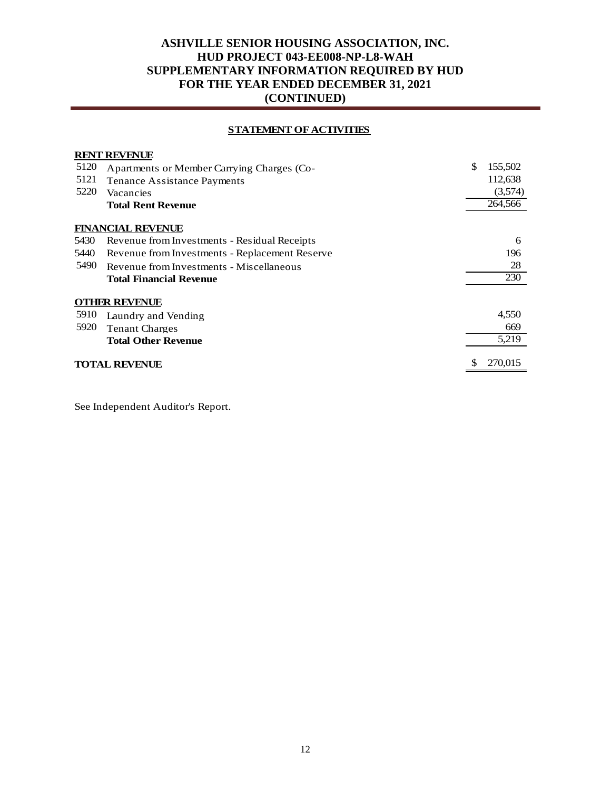### **STATEMENT OF ACTIVITIES**

|      | <b>RENT REVENUE</b>                            |                |
|------|------------------------------------------------|----------------|
| 5120 | Apartments or Member Carrying Charges (Co-     | \$.<br>155,502 |
| 5121 | Tenance Assistance Payments                    | 112,638        |
| 5220 | Vacancies                                      | (3,574)        |
|      | <b>Total Rent Revenue</b>                      | 264,566        |
|      | <b>FINANCIAL REVENUE</b>                       |                |
| 5430 | Revenue from Investments - Residual Receipts   | 6              |
| 5440 | Revenue from Investments - Replacement Reserve | 196            |
| 5490 | Revenue from Investments - Miscellaneous       | 28             |
|      | <b>Total Financial Revenue</b>                 | 230            |
|      | <b>OTHER REVENUE</b>                           |                |
| 5910 | Laundry and Vending                            | 4,550          |
| 5920 | <b>Tenant Charges</b>                          | 669            |
|      | <b>Total Other Revenue</b>                     | 5,219          |
|      | <b>TOTAL REVENUE</b>                           | 270,015        |
|      |                                                |                |

See Independent Auditor's Report.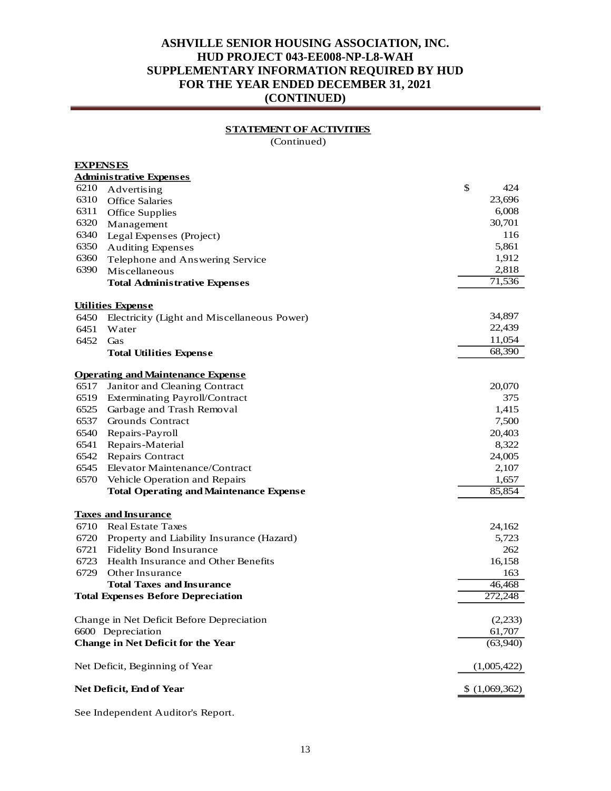### **STATEMENT OF ACTIVITIES**

(Continued)

| <b>EXPENSES</b> |                                                  |               |
|-----------------|--------------------------------------------------|---------------|
|                 | <b>Administrative Expenses</b>                   |               |
| 6210            | Advertising                                      | \$<br>424     |
| 6310            | <b>Office Salaries</b>                           | 23,696        |
| 6311            | <b>Office Supplies</b>                           | 6,008         |
| 6320            | Management                                       | 30,701        |
| 6340            | Legal Expenses (Project)                         | 116           |
| 6350            | <b>Auditing Expenses</b>                         | 5,861         |
| 6360            | Telephone and Answering Service                  | 1,912         |
| 6390            | Miscellaneous                                    | 2,818         |
|                 | <b>Total Administrative Expenses</b>             | 71,536        |
|                 | <b>Utilities Expense</b>                         |               |
|                 | 6450 Electricity (Light and Miscellaneous Power) | 34,897        |
| 6451            | Water                                            | 22,439        |
| 6452            | Gas                                              | 11,054        |
|                 | <b>Total Utilities Expense</b>                   | 68,390        |
|                 | <b>Operating and Maintenance Expense</b>         |               |
| 6517            | Janitor and Cleaning Contract                    | 20,070        |
| 6519            | Exterminating Payroll/Contract                   | 375           |
| 6525            | Garbage and Trash Removal                        | 1,415         |
| 6537            | Grounds Contract                                 | 7,500         |
| 6540            | Repairs-Payroll                                  | 20,403        |
| 6541            | Repairs-Material                                 | 8,322         |
| 6542            | Repairs Contract                                 | 24,005        |
| 6545            | Elevator Maintenance/Contract                    | 2,107         |
| 6570            | Vehicle Operation and Repairs                    | 1,657         |
|                 | <b>Total Operating and Maintenance Expense</b>   | 85,854        |
|                 | <b>Taxes and Insurance</b>                       |               |
|                 | 6710 Real Estate Taxes                           | 24,162        |
|                 | 6720 Property and Liability Insurance (Hazard)   | 5,723         |
| 6721            | <b>Fidelity Bond Insurance</b>                   | 262           |
| 6723            | Health Insurance and Other Benefits              | 16,158        |
| 6729            | Other Insurance                                  | 163           |
|                 | <b>Total Taxes and Insurance</b>                 | 46,468        |
|                 | <b>Total Expenses Before Depreciation</b>        | 272,248       |
|                 | Change in Net Deficit Before Depreciation        | (2,233)       |
|                 | 6600 Depreciation                                | 61,707        |
|                 | <b>Change in Net Deficit for the Year</b>        | (63,940)      |
|                 | Net Deficit, Beginning of Year                   | (1,005,422)   |
|                 | Net Deficit, End of Year                         | \$(1,069,362) |
|                 |                                                  |               |

See Independent Auditor's Report.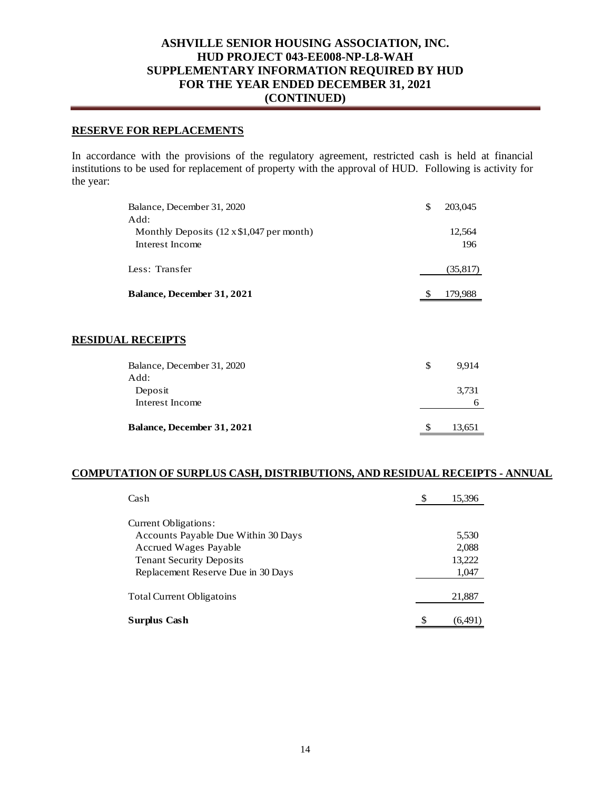### **RESERVE FOR REPLACEMENTS**

In accordance with the provisions of the regulatory agreement, restricted cash is held at financial institutions to be used for replacement of property with the approval of HUD. Following is activity for the year:

| Balance, December 31, 2020                              | S | 203,045          |
|---------------------------------------------------------|---|------------------|
| Add:<br>Monthly Deposits $(12 \times $1,047$ per month) |   | 12,564           |
| Interest Income<br>Less: Transfer                       |   | 196<br>(35, 817) |
| Balance, December 31, 2021                              |   | 179,988          |
|                                                         |   |                  |

### **RESIDUAL RECEIPTS**

| Balance, December 31, 2020<br>Add: | S | 9.914                 |
|------------------------------------|---|-----------------------|
| Deposit<br>Interest Income         |   | 3,731<br><sub>(</sub> |
| Balance, December 31, 2021         |   | 13,651                |

### **COMPUTATION OF SURPLUS CASH, DISTRIBUTIONS, AND RESIDUAL RECEIPTS - ANNUAL**

| Cash                                | 15,396 |
|-------------------------------------|--------|
| Current Obligations:                |        |
| Accounts Payable Due Within 30 Days | 5,530  |
| Accrued Wages Payable               | 2,088  |
| <b>Tenant Security Deposits</b>     | 13,222 |
| Replacement Reserve Due in 30 Days  | 1,047  |
| Total Current Obligatoins           | 21,887 |
| <b>Surplus Cash</b>                 | (6,49  |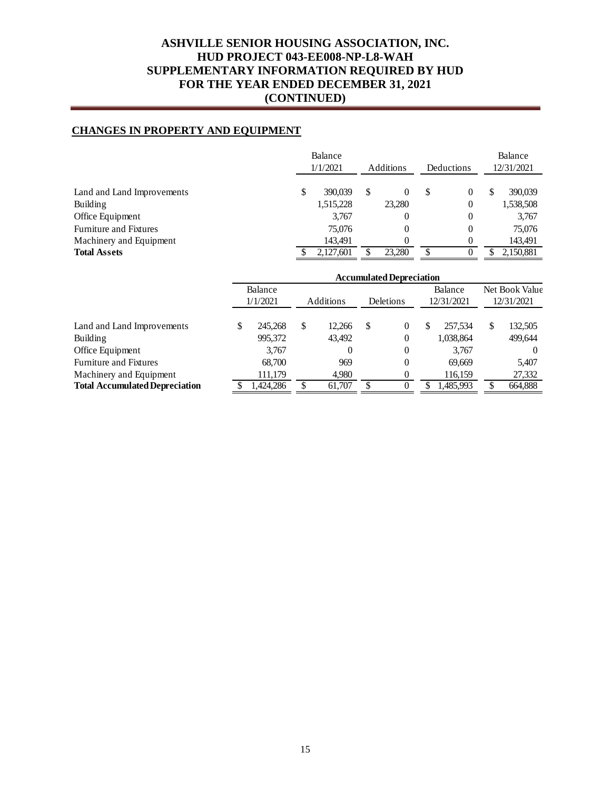### **CHANGES IN PROPERTY AND EQUIPMENT**

|                            |         | Balance<br>1/1/2021             |           |               | <b>Additions</b> |    | Deductions |    | Balance<br>12/31/2021 |  |  |
|----------------------------|---------|---------------------------------|-----------|---------------|------------------|----|------------|----|-----------------------|--|--|
| Land and Land Improvements |         | \$                              | 390,039   | <sup>\$</sup> | $\Omega$         | \$ | 0          | \$ | 390,039               |  |  |
| <b>Building</b>            |         |                                 | 1,515,228 |               | 23,280           |    | 0          |    | 1,538,508             |  |  |
| Office Equipment           |         |                                 | 3,767     |               | 0                |    | 0          |    | 3,767                 |  |  |
| Furniture and Fixtures     |         |                                 | 75,076    |               | 0                |    | 0          |    | 75,076                |  |  |
| Machinery and Equipment    |         |                                 | 143,491   |               | 0                |    | 0          |    | 143,491               |  |  |
| <b>Total Assets</b>        |         |                                 | 2.127,601 |               | 23,280           | \$ | 0          | S  | 2,150,881             |  |  |
|                            |         | <b>Accumulated Depreciation</b> |           |               |                  |    |            |    |                       |  |  |
|                            | Balance |                                 |           |               |                  |    | Balance    |    | Net Book Value        |  |  |

|                                       | 1/1/2021 |          | Additions |        | Deletions |  | 12/31/2021 |           | 12/31/2021 |         |
|---------------------------------------|----------|----------|-----------|--------|-----------|--|------------|-----------|------------|---------|
|                                       |          |          |           |        |           |  |            |           |            |         |
| Land and Land Improvements            |          | 245,268  | S         | 12.266 |           |  |            | 257.534   |            | 132,505 |
| <b>Building</b>                       |          | 995,372  |           | 43,492 |           |  |            | 1,038,864 |            | 499,644 |
| Office Equipment                      |          | 3.767    |           |        |           |  |            | 3.767     |            |         |
| Furniture and Fixtures                |          | 68,700   |           | 969    |           |  |            | 69,669    |            | 5.407   |
| Machinery and Equipment               |          | 111.179  |           | 4.980  |           |  |            | 116.159   |            | 27,332  |
| <b>Total Accumulated Depreciation</b> |          | .424.286 |           | 61,707 |           |  |            | 1,485,993 |            | 664,888 |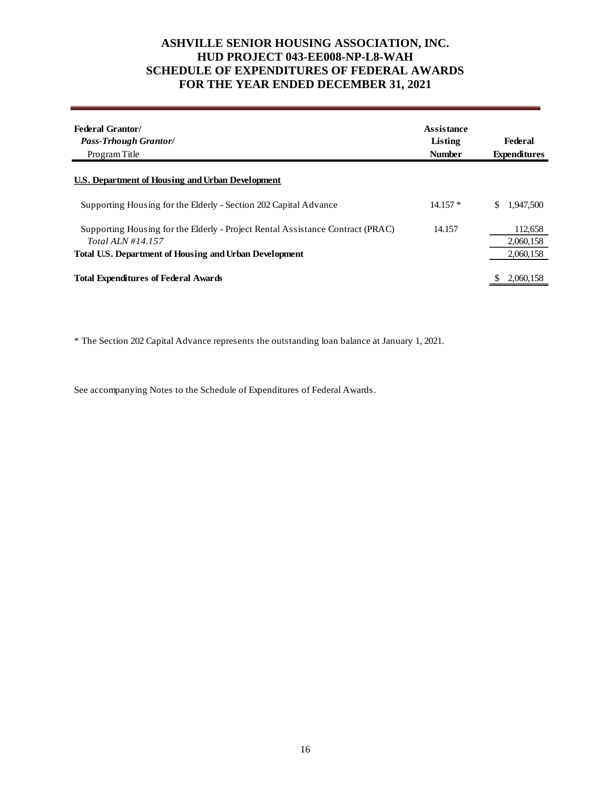# **ASHVILLE SENIOR HOUSING ASSOCIATION, INC. HUD PROJECT 043-EE008-NP-L8-WAH SCHEDULE OF EXPENDITURES OF FEDERAL AWARDS FOR THE YEAR ENDED DECEMBER 31, 2021**

| <b>Federal Grantor/</b><br><b>Pass-Trhough Grantor/</b><br>Program Title                            | <b>Assistance</b><br>Listing<br><b>Number</b> | Federal<br><b>Expenditures</b> |  |  |
|-----------------------------------------------------------------------------------------------------|-----------------------------------------------|--------------------------------|--|--|
| U.S. Department of Housing and Urban Development                                                    |                                               |                                |  |  |
| Supporting Housing for the Elderly - Section 202 Capital Advance                                    | $14.157*$                                     | S.<br>1.947.500                |  |  |
| Supporting Housing for the Elderly - Project Rental Assistance Contract (PRAC)<br>Total ALN #14.157 | 14.157                                        | 112,658<br>2.060.158           |  |  |
| <b>Total U.S. Department of Housing and Urban Development</b>                                       |                                               | 2,060,158                      |  |  |
| <b>Total Expenditures of Federal Awards</b>                                                         |                                               | 2,060,158                      |  |  |

\* The Section 202 Capital Advance represents the outstanding loan balance at January 1, 2021.

See accompanying Notes to the Schedule of Expenditures of Federal Awards.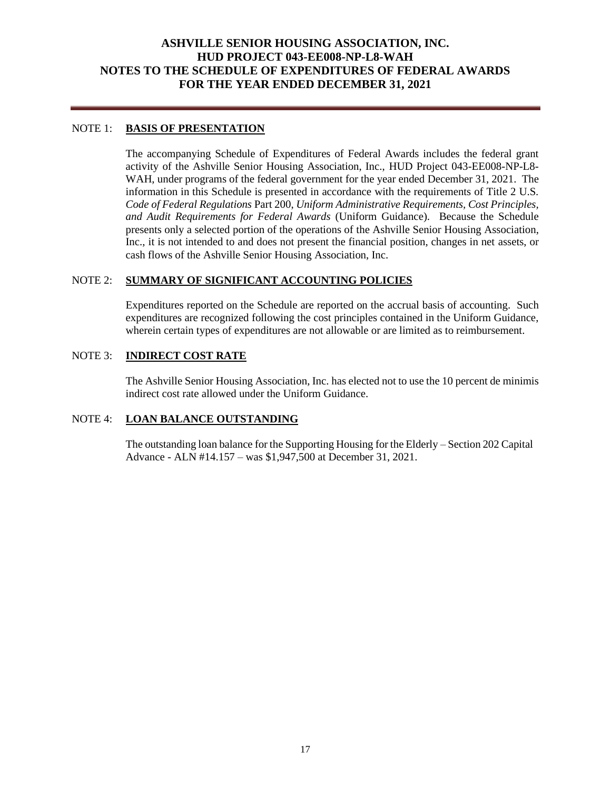## **ASHVILLE SENIOR HOUSING ASSOCIATION, INC. HUD PROJECT 043-EE008-NP-L8-WAH NOTES TO THE SCHEDULE OF EXPENDITURES OF FEDERAL AWARDS FOR THE YEAR ENDED DECEMBER 31, 2021**

### NOTE 1: **BASIS OF PRESENTATION**

The accompanying Schedule of Expenditures of Federal Awards includes the federal grant activity of the Ashville Senior Housing Association, Inc., HUD Project 043-EE008-NP-L8- WAH, under programs of the federal government for the year ended December 31, 2021. The information in this Schedule is presented in accordance with the requirements of Title 2 U.S. *Code of Federal Regulations* Part 200, *Uniform Administrative Requirements, Cost Principles, and Audit Requirements for Federal Awards* (Uniform Guidance). Because the Schedule presents only a selected portion of the operations of the Ashville Senior Housing Association, Inc., it is not intended to and does not present the financial position, changes in net assets, or cash flows of the Ashville Senior Housing Association, Inc.

### NOTE 2: **SUMMARY OF SIGNIFICANT ACCOUNTING POLICIES**

Expenditures reported on the Schedule are reported on the accrual basis of accounting. Such expenditures are recognized following the cost principles contained in the Uniform Guidance, wherein certain types of expenditures are not allowable or are limited as to reimbursement.

### NOTE 3: **INDIRECT COST RATE**

The Ashville Senior Housing Association, Inc. has elected not to use the 10 percent de minimis indirect cost rate allowed under the Uniform Guidance.

### NOTE 4: **LOAN BALANCE OUTSTANDING**

The outstanding loan balance for the Supporting Housing for the Elderly – Section 202 Capital Advance - ALN #14.157 – was \$1,947,500 at December 31, 2021.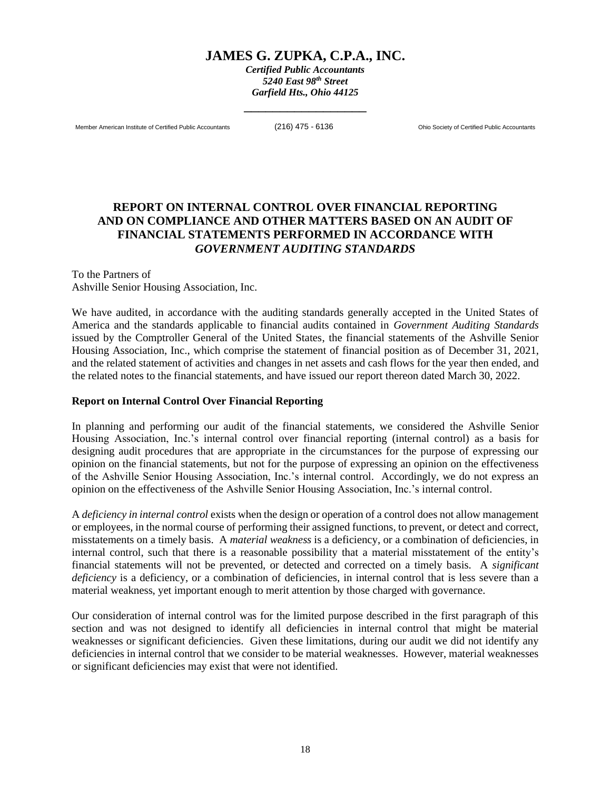# **JAMES G. ZUPKA, C.P.A., INC.**

*Certified Public Accountants 5240 East 98th Street Garfield Hts., Ohio 44125*

Member American Institute of Certified Public Accountants (216) 475 - 6136 Ohio Society of Certified Public Accountants

\_\_\_\_\_\_\_\_\_\_\_\_\_\_\_\_\_

# **REPORT ON INTERNAL CONTROL OVER FINANCIAL REPORTING AND ON COMPLIANCE AND OTHER MATTERS BASED ON AN AUDIT OF FINANCIAL STATEMENTS PERFORMED IN ACCORDANCE WITH** *GOVERNMENT AUDITING STANDARDS*

To the Partners of Ashville Senior Housing Association, Inc.

We have audited, in accordance with the auditing standards generally accepted in the United States of America and the standards applicable to financial audits contained in *Government Auditing Standards* issued by the Comptroller General of the United States, the financial statements of the Ashville Senior Housing Association, Inc., which comprise the statement of financial position as of December 31, 2021, and the related statement of activities and changes in net assets and cash flows for the year then ended, and the related notes to the financial statements, and have issued our report thereon dated March 30, 2022.

### **Report on Internal Control Over Financial Reporting**

In planning and performing our audit of the financial statements, we considered the Ashville Senior Housing Association, Inc.'s internal control over financial reporting (internal control) as a basis for designing audit procedures that are appropriate in the circumstances for the purpose of expressing our opinion on the financial statements, but not for the purpose of expressing an opinion on the effectiveness of the Ashville Senior Housing Association, Inc.'s internal control. Accordingly, we do not express an opinion on the effectiveness of the Ashville Senior Housing Association, Inc.'s internal control.

A *deficiency in internal control* exists when the design or operation of a control does not allow management or employees, in the normal course of performing their assigned functions, to prevent, or detect and correct, misstatements on a timely basis. A *material weakness* is a deficiency, or a combination of deficiencies, in internal control, such that there is a reasonable possibility that a material misstatement of the entity's financial statements will not be prevented, or detected and corrected on a timely basis. A *significant deficiency* is a deficiency, or a combination of deficiencies, in internal control that is less severe than a material weakness, yet important enough to merit attention by those charged with governance.

Our consideration of internal control was for the limited purpose described in the first paragraph of this section and was not designed to identify all deficiencies in internal control that might be material weaknesses or significant deficiencies. Given these limitations, during our audit we did not identify any deficiencies in internal control that we consider to be material weaknesses. However, material weaknesses or significant deficiencies may exist that were not identified.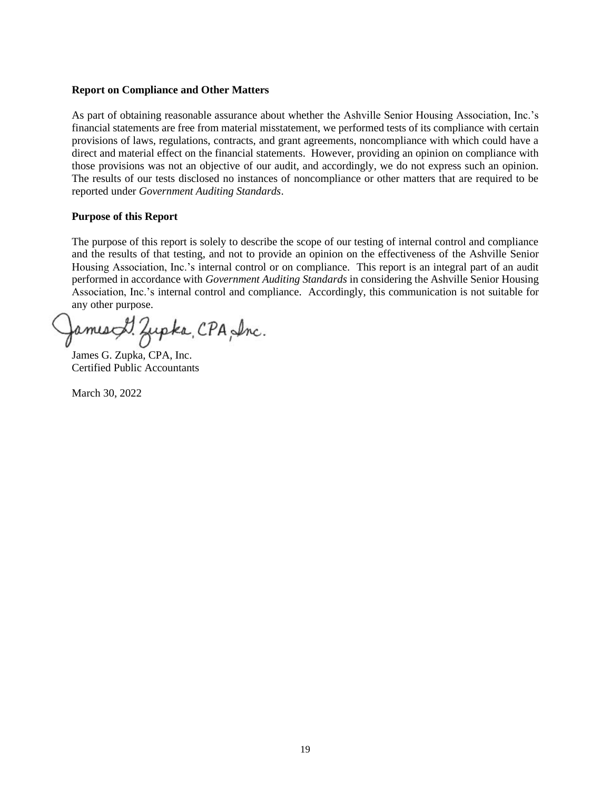### **Report on Compliance and Other Matters**

As part of obtaining reasonable assurance about whether the Ashville Senior Housing Association, Inc.'s financial statements are free from material misstatement, we performed tests of its compliance with certain provisions of laws, regulations, contracts, and grant agreements, noncompliance with which could have a direct and material effect on the financial statements. However, providing an opinion on compliance with those provisions was not an objective of our audit, and accordingly, we do not express such an opinion. The results of our tests disclosed no instances of noncompliance or other matters that are required to be reported under *Government Auditing Standards*.

### **Purpose of this Report**

The purpose of this report is solely to describe the scope of our testing of internal control and compliance and the results of that testing, and not to provide an opinion on the effectiveness of the Ashville Senior Housing Association, Inc.'s internal control or on compliance. This report is an integral part of an audit performed in accordance with *Government Auditing Standards* in considering the Ashville Senior Housing Association, Inc.'s internal control and compliance. Accordingly, this communication is not suitable for any other purpose.

amescal. Zupka, CPA, Inc.

James G. Zupka, CPA, Inc. Certified Public Accountants

March 30, 2022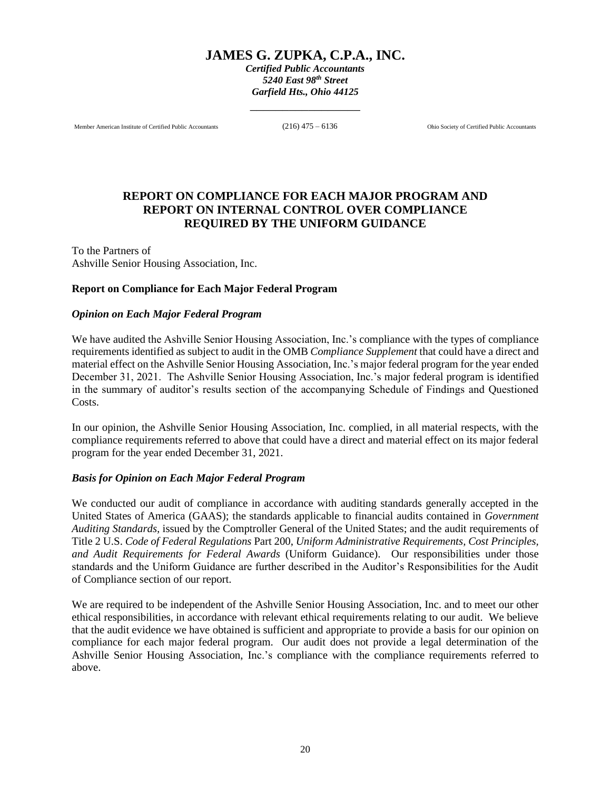# **JAMES G. ZUPKA, C.P.A., INC.**

*Certified Public Accountants 5240 East 98th Street Garfield Hts., Ohio 44125*

\_\_\_\_\_\_\_\_\_\_\_\_\_\_\_\_\_

Member American Institute of Certified Public Accountants (216) 475 – 6136 Ohio Society of Certified Public Accountants

# **REPORT ON COMPLIANCE FOR EACH MAJOR PROGRAM AND REPORT ON INTERNAL CONTROL OVER COMPLIANCE REQUIRED BY THE UNIFORM GUIDANCE**

To the Partners of Ashville Senior Housing Association, Inc.

### **Report on Compliance for Each Major Federal Program**

### *Opinion on Each Major Federal Program*

We have audited the Ashville Senior Housing Association, Inc.'s compliance with the types of compliance requirements identified as subject to audit in the OMB *Compliance Supplement* that could have a direct and material effect on the Ashville Senior Housing Association, Inc.'s major federal program for the year ended December 31, 2021. The Ashville Senior Housing Association, Inc.'s major federal program is identified in the summary of auditor's results section of the accompanying Schedule of Findings and Questioned Costs.

In our opinion, the Ashville Senior Housing Association, Inc. complied, in all material respects, with the compliance requirements referred to above that could have a direct and material effect on its major federal program for the year ended December 31, 2021.

### *Basis for Opinion on Each Major Federal Program*

We conducted our audit of compliance in accordance with auditing standards generally accepted in the United States of America (GAAS); the standards applicable to financial audits contained in *Government Auditing Standards,* issued by the Comptroller General of the United States; and the audit requirements of Title 2 U.S. *Code of Federal Regulations* Part 200, *Uniform Administrative Requirements, Cost Principles, and Audit Requirements for Federal Awards* (Uniform Guidance). Our responsibilities under those standards and the Uniform Guidance are further described in the Auditor's Responsibilities for the Audit of Compliance section of our report.

We are required to be independent of the Ashville Senior Housing Association, Inc. and to meet our other ethical responsibilities, in accordance with relevant ethical requirements relating to our audit. We believe that the audit evidence we have obtained is sufficient and appropriate to provide a basis for our opinion on compliance for each major federal program. Our audit does not provide a legal determination of the Ashville Senior Housing Association, Inc.'s compliance with the compliance requirements referred to above.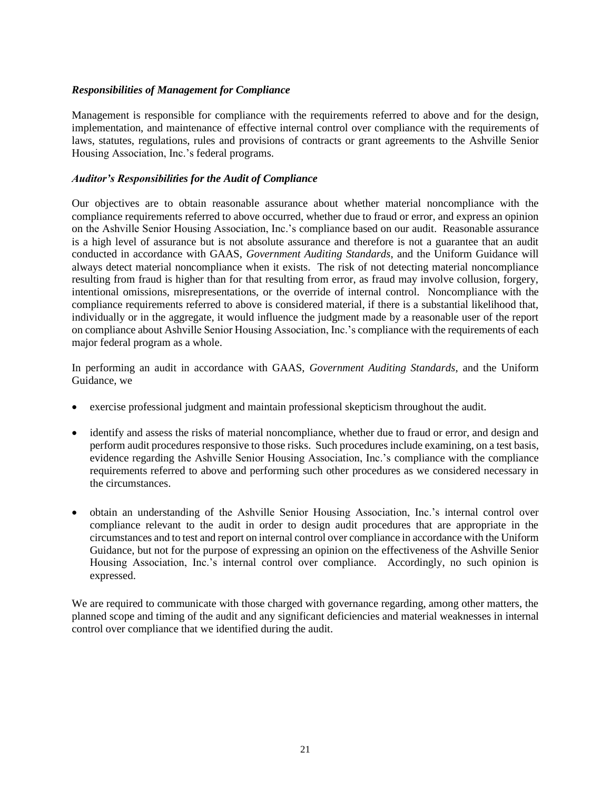### *Responsibilities of Management for Compliance*

Management is responsible for compliance with the requirements referred to above and for the design, implementation, and maintenance of effective internal control over compliance with the requirements of laws, statutes, regulations, rules and provisions of contracts or grant agreements to the Ashville Senior Housing Association, Inc.'s federal programs.

### *Auditor's Responsibilities for the Audit of Compliance*

Our objectives are to obtain reasonable assurance about whether material noncompliance with the compliance requirements referred to above occurred, whether due to fraud or error, and express an opinion on the Ashville Senior Housing Association, Inc.'s compliance based on our audit. Reasonable assurance is a high level of assurance but is not absolute assurance and therefore is not a guarantee that an audit conducted in accordance with GAAS, *Government Auditing Standards*, and the Uniform Guidance will always detect material noncompliance when it exists. The risk of not detecting material noncompliance resulting from fraud is higher than for that resulting from error, as fraud may involve collusion, forgery, intentional omissions, misrepresentations, or the override of internal control. Noncompliance with the compliance requirements referred to above is considered material, if there is a substantial likelihood that, individually or in the aggregate, it would influence the judgment made by a reasonable user of the report on compliance about Ashville Senior Housing Association, Inc.'s compliance with the requirements of each major federal program as a whole.

In performing an audit in accordance with GAAS, *Government Auditing Standards*, and the Uniform Guidance, we

- exercise professional judgment and maintain professional skepticism throughout the audit.
- identify and assess the risks of material noncompliance, whether due to fraud or error, and design and perform audit procedures responsive to those risks. Such procedures include examining, on a test basis, evidence regarding the Ashville Senior Housing Association, Inc.'s compliance with the compliance requirements referred to above and performing such other procedures as we considered necessary in the circumstances.
- obtain an understanding of the Ashville Senior Housing Association, Inc.'s internal control over compliance relevant to the audit in order to design audit procedures that are appropriate in the circumstances and to test and report on internal control over compliance in accordance with the Uniform Guidance, but not for the purpose of expressing an opinion on the effectiveness of the Ashville Senior Housing Association, Inc.'s internal control over compliance. Accordingly, no such opinion is expressed.

We are required to communicate with those charged with governance regarding, among other matters, the planned scope and timing of the audit and any significant deficiencies and material weaknesses in internal control over compliance that we identified during the audit.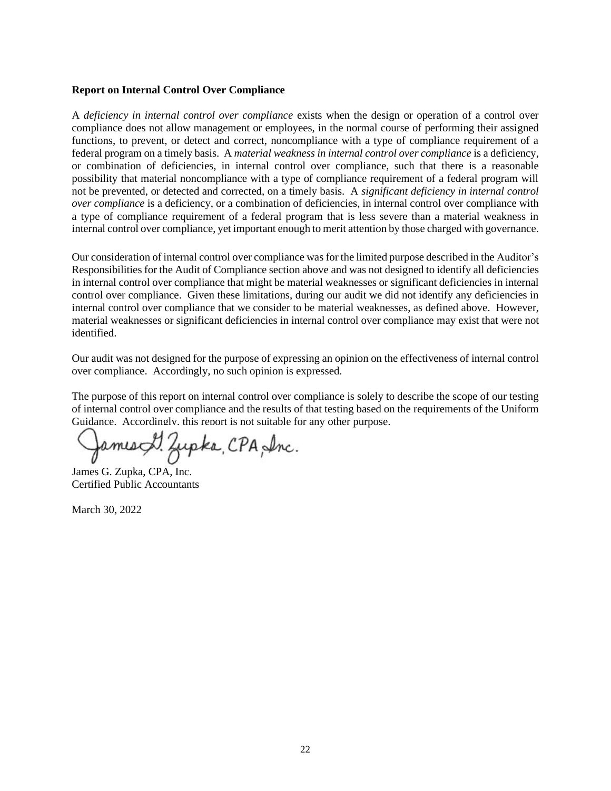### **Report on Internal Control Over Compliance**

A *deficiency in internal control over compliance* exists when the design or operation of a control over compliance does not allow management or employees, in the normal course of performing their assigned functions, to prevent, or detect and correct, noncompliance with a type of compliance requirement of a federal program on a timely basis. A *material weakness in internal control over compliance* is a deficiency, or combination of deficiencies, in internal control over compliance, such that there is a reasonable possibility that material noncompliance with a type of compliance requirement of a federal program will not be prevented, or detected and corrected, on a timely basis. A *significant deficiency in internal control over compliance* is a deficiency, or a combination of deficiencies, in internal control over compliance with a type of compliance requirement of a federal program that is less severe than a material weakness in internal control over compliance, yet important enough to merit attention by those charged with governance.

Our consideration of internal control over compliance was for the limited purpose described in the Auditor's Responsibilities for the Audit of Compliance section above and was not designed to identify all deficiencies in internal control over compliance that might be material weaknesses or significant deficiencies in internal control over compliance. Given these limitations, during our audit we did not identify any deficiencies in internal control over compliance that we consider to be material weaknesses, as defined above. However, material weaknesses or significant deficiencies in internal control over compliance may exist that were not identified.

Our audit was not designed for the purpose of expressing an opinion on the effectiveness of internal control over compliance. Accordingly, no such opinion is expressed.

The purpose of this report on internal control over compliance is solely to describe the scope of our testing of internal control over compliance and the results of that testing based on the requirements of the Uniform Guidance. Accordingly, this report is not suitable for any other purpose.

G. Zupka, CPA, Inc.

James G. Zupka, CPA, Inc. Certified Public Accountants

March 30, 2022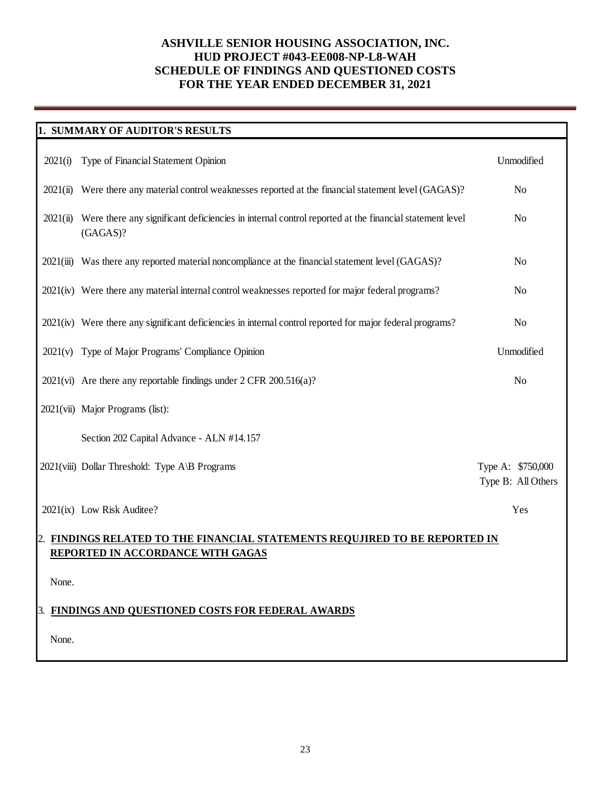# **ASHVILLE SENIOR HOUSING ASSOCIATION, INC. HUD PROJECT #043-EE008-NP-L8-WAH SCHEDULE OF FINDINGS AND QUESTIONED COSTS FOR THE YEAR ENDED DECEMBER 31, 2021**

| 1. SUMMARY OF AUDITOR'S RESULTS                                                                                  |                                                                                                                   |                                         |  |  |  |  |
|------------------------------------------------------------------------------------------------------------------|-------------------------------------------------------------------------------------------------------------------|-----------------------------------------|--|--|--|--|
| 2021(i)                                                                                                          | Type of Financial Statement Opinion                                                                               | Unmodified                              |  |  |  |  |
|                                                                                                                  | 2021(ii) Were there any material control weaknesses reported at the financial statement level (GAGAS)?            | N <sub>0</sub>                          |  |  |  |  |
| 2021(ii)                                                                                                         | Were there any significant deficiencies in internal control reported at the financial statement level<br>(GAGAS)? | N <sub>0</sub>                          |  |  |  |  |
|                                                                                                                  | 2021(iii) Was there any reported material noncompliance at the financial statement level (GAGAS)?                 | N <sub>0</sub>                          |  |  |  |  |
|                                                                                                                  | 2021(iv) Were there any material internal control weaknesses reported for major federal programs?                 | N <sub>0</sub>                          |  |  |  |  |
|                                                                                                                  | 2021(iv) Were there any significant deficiencies in internal control reported for major federal programs?         | N <sub>0</sub>                          |  |  |  |  |
|                                                                                                                  | $2021(v)$ Type of Major Programs' Compliance Opinion                                                              | Unmodified                              |  |  |  |  |
|                                                                                                                  | $2021$ (vi) Are there any reportable findings under $2$ CFR $200.516(a)$ ?                                        | N <sub>0</sub>                          |  |  |  |  |
|                                                                                                                  | 2021(vii) Major Programs (list):                                                                                  |                                         |  |  |  |  |
|                                                                                                                  | Section 202 Capital Advance - ALN #14.157                                                                         |                                         |  |  |  |  |
|                                                                                                                  | 2021(viii) Dollar Threshold: Type A\B Programs                                                                    | Type A: \$750,000<br>Type B: All Others |  |  |  |  |
|                                                                                                                  | 2021(ix) Low Risk Auditee?                                                                                        | Yes                                     |  |  |  |  |
| 2. FINDINGS RELATED TO THE FINANCIAL STATEMENTS REQUJIRED TO BE REPORTED IN<br>REPORTED IN ACCORDANCE WITH GAGAS |                                                                                                                   |                                         |  |  |  |  |
| None.                                                                                                            |                                                                                                                   |                                         |  |  |  |  |
| 3. FINDINGS AND QUESTIONED COSTS FOR FEDERAL AWARDS                                                              |                                                                                                                   |                                         |  |  |  |  |
| None.                                                                                                            |                                                                                                                   |                                         |  |  |  |  |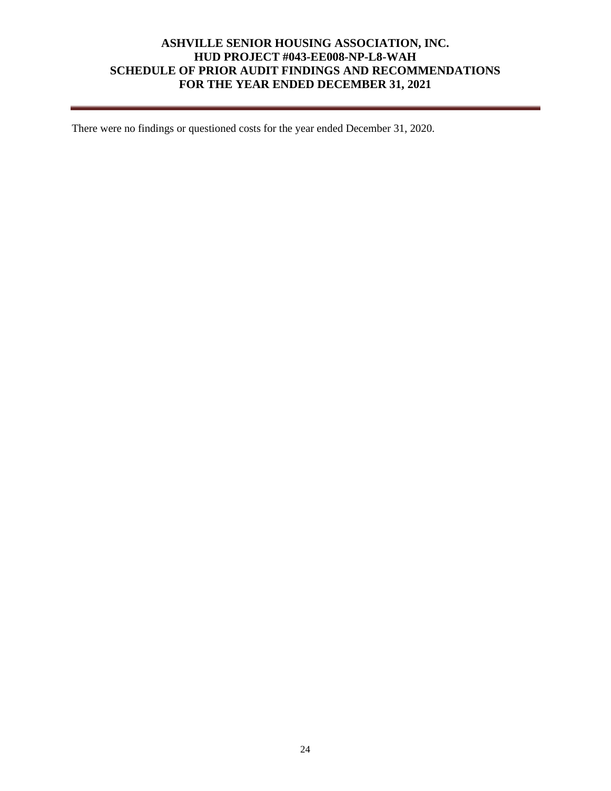# **ASHVILLE SENIOR HOUSING ASSOCIATION, INC. HUD PROJECT #043-EE008-NP-L8-WAH SCHEDULE OF PRIOR AUDIT FINDINGS AND RECOMMENDATIONS FOR THE YEAR ENDED DECEMBER 31, 2021**

There were no findings or questioned costs for the year ended December 31, 2020.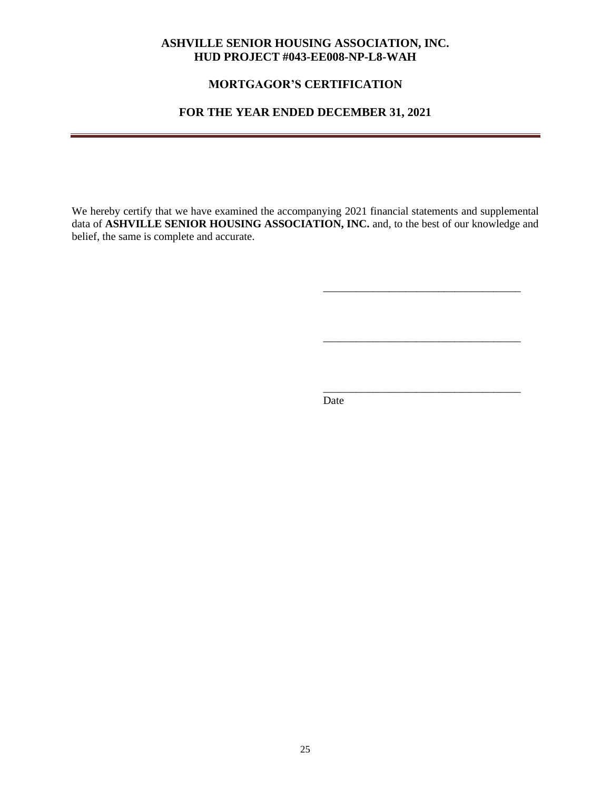# **ASHVILLE SENIOR HOUSING ASSOCIATION, INC. HUD PROJECT #043-EE008-NP-L8-WAH**

# **MORTGAGOR'S CERTIFICATION**

# **FOR THE YEAR ENDED DECEMBER 31, 2021**

We hereby certify that we have examined the accompanying 2021 financial statements and supplemental data of **ASHVILLE SENIOR HOUSING ASSOCIATION, INC.** and, to the best of our knowledge and belief, the same is complete and accurate.

Date

\_\_\_\_\_\_\_\_\_\_\_\_\_\_\_\_\_\_\_\_\_\_\_\_\_\_\_\_\_\_\_\_\_\_\_\_

\_\_\_\_\_\_\_\_\_\_\_\_\_\_\_\_\_\_\_\_\_\_\_\_\_\_\_\_\_\_\_\_\_\_\_\_

\_\_\_\_\_\_\_\_\_\_\_\_\_\_\_\_\_\_\_\_\_\_\_\_\_\_\_\_\_\_\_\_\_\_\_\_